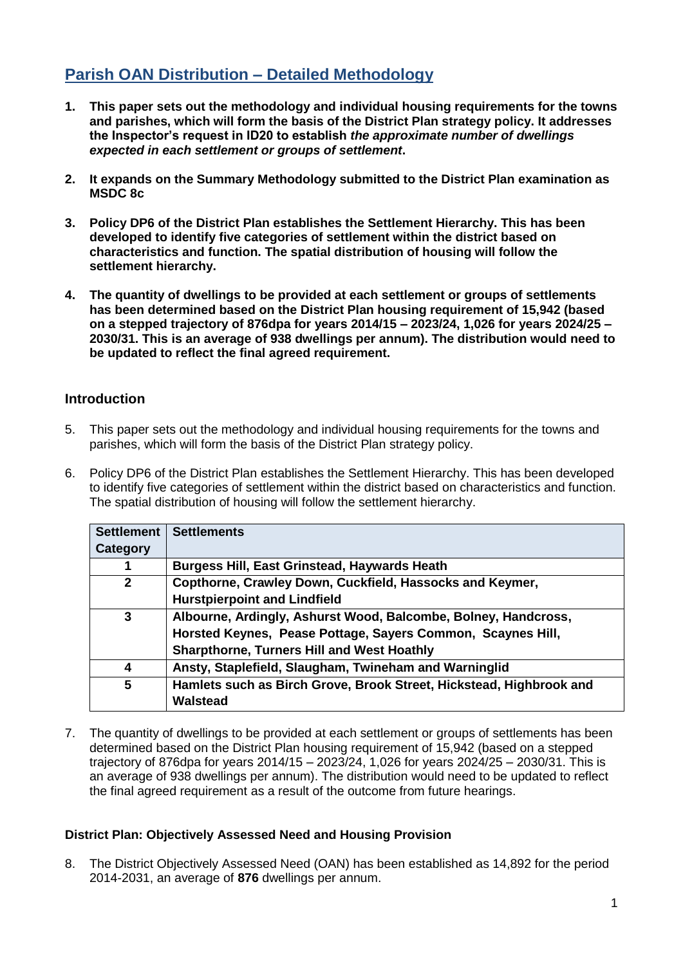# **Parish OAN Distribution – Detailed Methodology**

- **1. This paper sets out the methodology and individual housing requirements for the towns and parishes, which will form the basis of the District Plan strategy policy. It addresses the Inspector's request in ID20 to establish** *the approximate number of dwellings expected in each settlement or groups of settlement***.**
- **2. It expands on the Summary Methodology submitted to the District Plan examination as MSDC 8c**
- **3. Policy DP6 of the District Plan establishes the Settlement Hierarchy. This has been developed to identify five categories of settlement within the district based on characteristics and function. The spatial distribution of housing will follow the settlement hierarchy.**
- **4. The quantity of dwellings to be provided at each settlement or groups of settlements has been determined based on the District Plan housing requirement of 15,942 (based on a stepped trajectory of 876dpa for years 2014/15 – 2023/24, 1,026 for years 2024/25 – 2030/31. This is an average of 938 dwellings per annum). The distribution would need to be updated to reflect the final agreed requirement.**

# **Introduction**

- 5. This paper sets out the methodology and individual housing requirements for the towns and parishes, which will form the basis of the District Plan strategy policy.
- 6. Policy DP6 of the District Plan establishes the Settlement Hierarchy. This has been developed to identify five categories of settlement within the district based on characteristics and function. The spatial distribution of housing will follow the settlement hierarchy.

| <b>Settlement</b> | <b>Settlements</b>                                                  |
|-------------------|---------------------------------------------------------------------|
| Category          |                                                                     |
|                   | <b>Burgess Hill, East Grinstead, Haywards Heath</b>                 |
| $\mathbf{2}$      | Copthorne, Crawley Down, Cuckfield, Hassocks and Keymer,            |
|                   | <b>Hurstpierpoint and Lindfield</b>                                 |
| 3                 | Albourne, Ardingly, Ashurst Wood, Balcombe, Bolney, Handcross,      |
|                   | Horsted Keynes, Pease Pottage, Sayers Common, Scaynes Hill,         |
|                   | <b>Sharpthorne, Turners Hill and West Hoathly</b>                   |
| 4                 | Ansty, Staplefield, Slaugham, Twineham and Warninglid               |
| 5                 | Hamlets such as Birch Grove, Brook Street, Hickstead, Highbrook and |
|                   | <b>Walstead</b>                                                     |

7. The quantity of dwellings to be provided at each settlement or groups of settlements has been determined based on the District Plan housing requirement of 15,942 (based on a stepped trajectory of 876dpa for years 2014/15 – 2023/24, 1,026 for years 2024/25 – 2030/31. This is an average of 938 dwellings per annum). The distribution would need to be updated to reflect the final agreed requirement as a result of the outcome from future hearings.

### **District Plan: Objectively Assessed Need and Housing Provision**

8. The District Objectively Assessed Need (OAN) has been established as 14,892 for the period 2014-2031, an average of **876** dwellings per annum.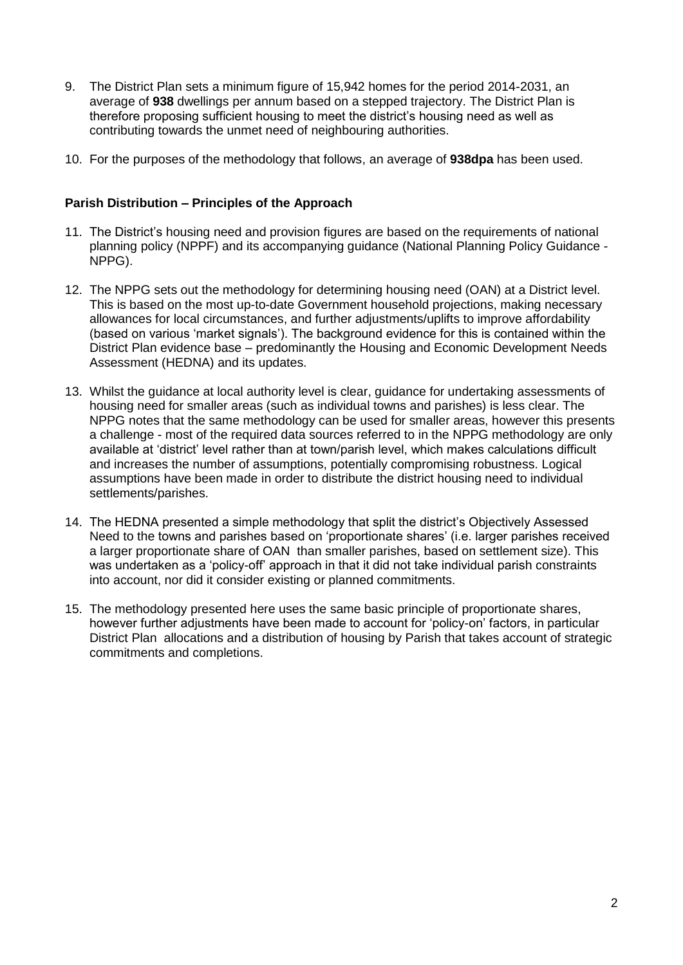- 9. The District Plan sets a minimum figure of 15,942 homes for the period 2014-2031, an average of **938** dwellings per annum based on a stepped trajectory. The District Plan is therefore proposing sufficient housing to meet the district's housing need as well as contributing towards the unmet need of neighbouring authorities.
- 10. For the purposes of the methodology that follows, an average of **938dpa** has been used.

### **Parish Distribution – Principles of the Approach**

- 11. The District's housing need and provision figures are based on the requirements of national planning policy (NPPF) and its accompanying guidance (National Planning Policy Guidance - NPPG).
- 12. The NPPG sets out the methodology for determining housing need (OAN) at a District level. This is based on the most up-to-date Government household projections, making necessary allowances for local circumstances, and further adjustments/uplifts to improve affordability (based on various 'market signals'). The background evidence for this is contained within the District Plan evidence base – predominantly the Housing and Economic Development Needs Assessment (HEDNA) and its updates.
- 13. Whilst the guidance at local authority level is clear, guidance for undertaking assessments of housing need for smaller areas (such as individual towns and parishes) is less clear. The NPPG notes that the same methodology can be used for smaller areas, however this presents a challenge - most of the required data sources referred to in the NPPG methodology are only available at 'district' level rather than at town/parish level, which makes calculations difficult and increases the number of assumptions, potentially compromising robustness. Logical assumptions have been made in order to distribute the district housing need to individual settlements/parishes.
- 14. The HEDNA presented a simple methodology that split the district's Objectively Assessed Need to the towns and parishes based on 'proportionate shares' (i.e. larger parishes received a larger proportionate share of OAN than smaller parishes, based on settlement size). This was undertaken as a 'policy-off' approach in that it did not take individual parish constraints into account, nor did it consider existing or planned commitments.
- 15. The methodology presented here uses the same basic principle of proportionate shares, however further adjustments have been made to account for 'policy-on' factors, in particular District Plan allocations and a distribution of housing by Parish that takes account of strategic commitments and completions.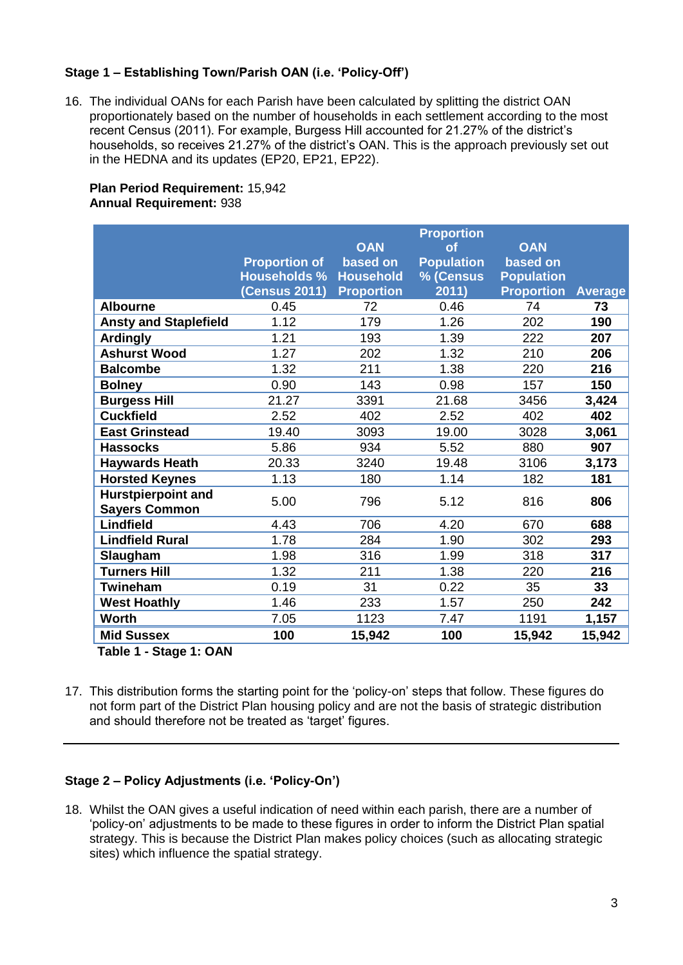### **Stage 1 – Establishing Town/Parish OAN (i.e. 'Policy-Off')**

16. The individual OANs for each Parish have been calculated by splitting the district OAN proportionately based on the number of households in each settlement according to the most recent Census (2011). For example, Burgess Hill accounted for 21.27% of the district's households, so receives 21.27% of the district's OAN. This is the approach previously set out in the HEDNA and its updates (EP20, EP21, EP22).

### **Plan Period Requirement:** 15,942 **Annual Requirement:** 938

|                              |                      |                        | <b>Proportion</b>               |                        |                |
|------------------------------|----------------------|------------------------|---------------------------------|------------------------|----------------|
|                              | <b>Proportion of</b> | <b>OAN</b><br>based on | $\alpha$ f<br><b>Population</b> | <b>OAN</b><br>based on |                |
|                              | <b>Households %</b>  | <b>Household</b>       | % (Census                       | <b>Population</b>      |                |
|                              | <b>(Census 2011)</b> | <b>Proportion</b>      | 2011)                           | <b>Proportion</b>      | <b>Average</b> |
| <b>Albourne</b>              | 0.45                 | 72                     | 0.46                            | 74                     | 73             |
| <b>Ansty and Staplefield</b> | 1.12                 | 179                    | 1.26                            | 202                    | 190            |
| <b>Ardingly</b>              | 1.21                 | 193                    | 1.39                            | 222                    | 207            |
| <b>Ashurst Wood</b>          | 1.27                 | 202                    | 1.32                            | 210                    | 206            |
| <b>Balcombe</b>              | 1.32                 | 211                    | 1.38                            | 220                    | 216            |
| <b>Bolney</b>                | 0.90                 | 143                    | 0.98                            | 157                    | 150            |
| <b>Burgess Hill</b>          | 21.27                | 3391                   | 21.68                           | 3456                   | 3,424          |
| <b>Cuckfield</b>             | 2.52                 | 402                    | 2.52                            | 402                    | 402            |
| <b>East Grinstead</b>        | 19.40                | 3093                   | 19.00                           | 3028                   | 3,061          |
| <b>Hassocks</b>              | 5.86                 | 934                    | 5.52                            | 880                    | 907            |
| <b>Haywards Heath</b>        | 20.33                | 3240                   | 19.48                           | 3106                   | 3,173          |
| <b>Horsted Keynes</b>        | 1.13                 | 180                    | 1.14                            | 182                    | 181            |
| <b>Hurstpierpoint and</b>    | 5.00                 | 796                    | 5.12                            | 816                    | 806            |
| <b>Sayers Common</b>         |                      |                        |                                 |                        |                |
| <b>Lindfield</b>             | 4.43                 | 706                    | 4.20                            | 670                    | 688            |
| <b>Lindfield Rural</b>       | 1.78                 | 284                    | 1.90                            | 302                    | 293            |
| Slaugham                     | 1.98                 | 316                    | 1.99                            | 318                    | 317            |
| <b>Turners Hill</b>          | 1.32                 | 211                    | 1.38                            | 220                    | 216            |
| Twineham                     | 0.19                 | 31                     | 0.22                            | 35                     | 33             |
| <b>West Hoathly</b>          | 1.46                 | 233                    | 1.57                            | 250                    | 242            |
| <b>Worth</b>                 | 7.05                 | 1123                   | 7.47                            | 1191                   | 1,157          |
| <b>Mid Sussex</b>            | 100                  | 15,942                 | 100                             | 15,942                 | 15,942         |
| Table 1 - Stage 1: OAN       |                      |                        |                                 |                        |                |

**Table 1 - Stage 1: OAN**

17. This distribution forms the starting point for the 'policy-on' steps that follow. These figures do not form part of the District Plan housing policy and are not the basis of strategic distribution and should therefore not be treated as 'target' figures.

### **Stage 2 – Policy Adjustments (i.e. 'Policy-On')**

18. Whilst the OAN gives a useful indication of need within each parish, there are a number of 'policy-on' adjustments to be made to these figures in order to inform the District Plan spatial strategy. This is because the District Plan makes policy choices (such as allocating strategic sites) which influence the spatial strategy.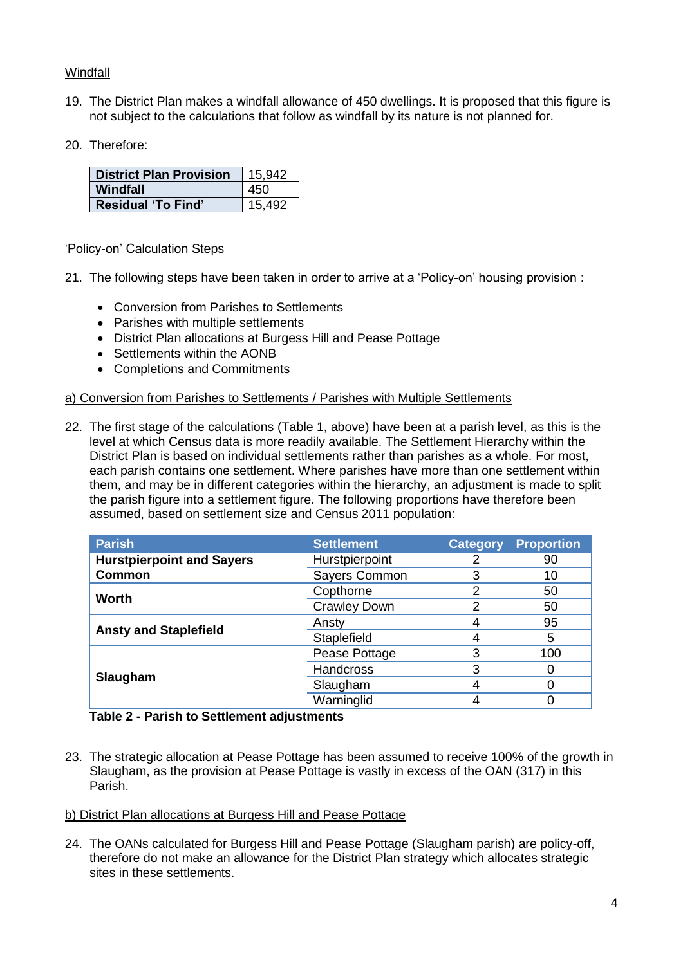### **Windfall**

- 19. The District Plan makes a windfall allowance of 450 dwellings. It is proposed that this figure is not subject to the calculations that follow as windfall by its nature is not planned for.
- 20. Therefore:

| <b>District Plan Provision</b> | 15,942 |
|--------------------------------|--------|
| Windfall                       | 450    |
| <b>Residual 'To Find'</b>      | 15.492 |

### 'Policy-on' Calculation Steps

- 21. The following steps have been taken in order to arrive at a 'Policy-on' housing provision :
	- Conversion from Parishes to Settlements
	- Parishes with multiple settlements
	- District Plan allocations at Burgess Hill and Pease Pottage
	- Settlements within the AONB
	- Completions and Commitments

### a) Conversion from Parishes to Settlements / Parishes with Multiple Settlements

22. The first stage of the calculations (Table 1, above) have been at a parish level, as this is the level at which Census data is more readily available. The Settlement Hierarchy within the District Plan is based on individual settlements rather than parishes as a whole. For most, each parish contains one settlement. Where parishes have more than one settlement within them, and may be in different categories within the hierarchy, an adjustment is made to split the parish figure into a settlement figure. The following proportions have therefore been assumed, based on settlement size and Census 2011 population:

| <b>Parish</b>                    | <b>Settlement</b>   | <b>Category</b> | <b>Proportion</b> |
|----------------------------------|---------------------|-----------------|-------------------|
| <b>Hurstpierpoint and Sayers</b> | Hurstpierpoint      |                 | 90                |
| <b>Common</b>                    | Sayers Common       |                 | 10                |
| <b>Worth</b>                     | Copthorne           |                 | 50                |
|                                  | <b>Crawley Down</b> | 2               | 50                |
|                                  | Ansty               |                 | 95                |
| <b>Ansty and Staplefield</b>     | Staplefield         |                 | 5                 |
|                                  | Pease Pottage       |                 | 100               |
|                                  | <b>Handcross</b>    | 3               |                   |
| Slaugham                         | Slaugham            |                 |                   |
|                                  | Warninglid          |                 |                   |

#### **Table 2 - Parish to Settlement adjustments**

23. The strategic allocation at Pease Pottage has been assumed to receive 100% of the growth in Slaugham, as the provision at Pease Pottage is vastly in excess of the OAN (317) in this Parish.

#### b) District Plan allocations at Burgess Hill and Pease Pottage

24. The OANs calculated for Burgess Hill and Pease Pottage (Slaugham parish) are policy-off, therefore do not make an allowance for the District Plan strategy which allocates strategic sites in these settlements.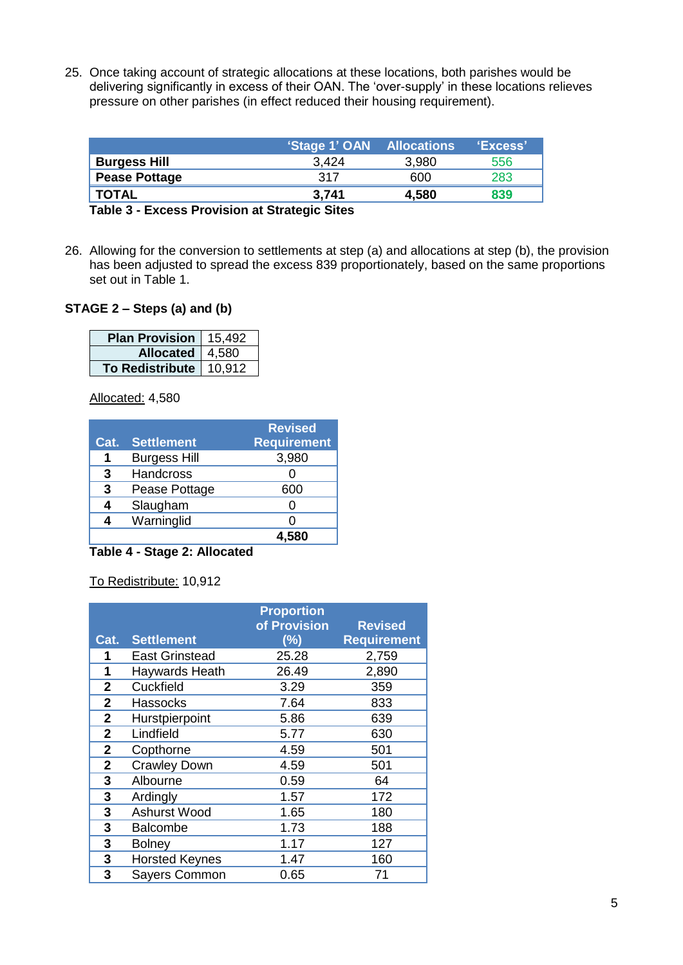25. Once taking account of strategic allocations at these locations, both parishes would be delivering significantly in excess of their OAN. The 'over-supply' in these locations relieves pressure on other parishes (in effect reduced their housing requirement).

| 'Stage 1' OAN Allocations<br><u>'Excess'</u> |       |                      |
|----------------------------------------------|-------|----------------------|
| 556<br>3,980                                 | 3.424 | <b>Burgess Hill</b>  |
| 283<br>600                                   | 317   | <b>Pease Pottage</b> |
| 839<br>4,580                                 | 3,741 | <b>TOTAL</b>         |
|                                              |       |                      |

**Table 3 - Excess Provision at Strategic Sites**

26. Allowing for the conversion to settlements at step (a) and allocations at step (b), the provision has been adjusted to spread the excess 839 proportionately, based on the same proportions set out in Table 1.

### **STAGE 2 – Steps (a) and (b)**

| <b>Plan Provision</b>    | 15,492 |
|--------------------------|--------|
| Allocated   4,580        |        |
| To Redistribute   10,912 |        |

Allocated: 4,580

|      |                     | <b>Revised</b>     |
|------|---------------------|--------------------|
| Cat. | <b>Settlement</b>   | <b>Requirement</b> |
| 1    | <b>Burgess Hill</b> | 3,980              |
| 3    | <b>Handcross</b>    |                    |
| 3    | Pease Pottage       | 600                |
|      | Slaugham            |                    |
|      | Warninglid          |                    |
|      |                     | 4.580              |

**Table 4 - Stage 2: Allocated**

To Redistribute: 10,912

|                |                       | <b>Proportion</b><br>of Provision | <b>Revised</b>     |
|----------------|-----------------------|-----------------------------------|--------------------|
| Cat.           | <b>Settlement</b>     | (%)                               | <b>Requirement</b> |
| 1              | <b>East Grinstead</b> | 25.28                             | 2,759              |
| 1              | Haywards Heath        | 26.49                             | 2,890              |
| $\overline{2}$ | Cuckfield             | 3.29                              | 359                |
| 2              | <b>Hassocks</b>       | 7.64                              | 833                |
| $\mathbf 2$    | Hurstpierpoint        | 5.86                              | 639                |
| $\overline{2}$ | Lindfield             | 5.77                              | 630                |
| $\overline{2}$ | Copthorne             | 4.59                              | 501                |
| $\mathbf{2}$   | <b>Crawley Down</b>   | 4.59                              | 501                |
| 3              | Albourne              | 0.59                              | 64                 |
| 3              | Ardingly              | 1.57                              | 172                |
| 3              | Ashurst Wood          | 1.65                              | 180                |
| 3              | <b>Balcombe</b>       | 1.73                              | 188                |
| 3              | <b>Bolney</b>         | 1.17                              | 127                |
| 3              | <b>Horsted Keynes</b> | 1.47                              | 160                |
| 3              | <b>Sayers Common</b>  | 0.65                              | 71                 |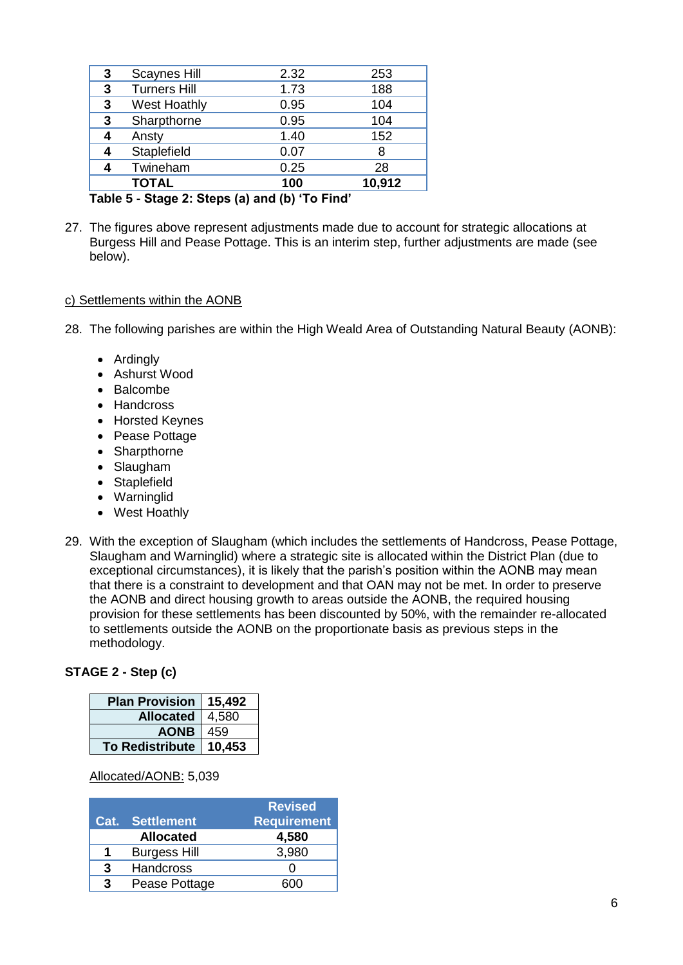|   | $\rightarrow$<br>$\sim$ $\sim$ | <b>A.</b> 11<br>. |        |
|---|--------------------------------|-------------------|--------|
|   | <b>TOTAL</b>                   | 100               | 10,912 |
|   | Twineham                       | 0.25              | 28     |
| 4 | Staplefield                    | 0.07              | 8      |
| 4 | Ansty                          | 1.40              | 152    |
| 3 | Sharpthorne                    | 0.95              | 104    |
| 3 | <b>West Hoathly</b>            | 0.95              | 104    |
| 3 | <b>Turners Hill</b>            | 1.73              | 188    |
| 3 | <b>Scaynes Hill</b>            | 2.32              | 253    |
|   |                                |                   |        |

**Table 5 - Stage 2: Steps (a) and (b) 'To Find'**

27. The figures above represent adjustments made due to account for strategic allocations at Burgess Hill and Pease Pottage. This is an interim step, further adjustments are made (see below).

### c) Settlements within the AONB

28. The following parishes are within the High Weald Area of Outstanding Natural Beauty (AONB):

- Ardingly
- Ashurst Wood
- Balcombe
- Handcross
- Horsted Keynes
- Pease Pottage
- Sharpthorne
- Slaugham
- Staplefield
- Warninglid
- West Hoathly
- 29. With the exception of Slaugham (which includes the settlements of Handcross, Pease Pottage, Slaugham and Warninglid) where a strategic site is allocated within the District Plan (due to exceptional circumstances), it is likely that the parish's position within the AONB may mean that there is a constraint to development and that OAN may not be met. In order to preserve the AONB and direct housing growth to areas outside the AONB, the required housing provision for these settlements has been discounted by 50%, with the remainder re-allocated to settlements outside the AONB on the proportionate basis as previous steps in the methodology.

### **STAGE 2 - Step (c)**

| <b>Plan Provision</b>  | 15,492 |
|------------------------|--------|
| <b>Allocated</b>       | 4,580  |
| <b>AONB</b>            | 459    |
| <b>To Redistribute</b> | 10,453 |

### Allocated/AONB: 5,039

| Cat. | Settlement          | <b>Revised</b><br><b>Requirement</b> |
|------|---------------------|--------------------------------------|
|      | <b>Allocated</b>    | 4,580                                |
| 1    | <b>Burgess Hill</b> | 3,980                                |
| 3    | <b>Handcross</b>    |                                      |
| 3    | Pease Pottage       |                                      |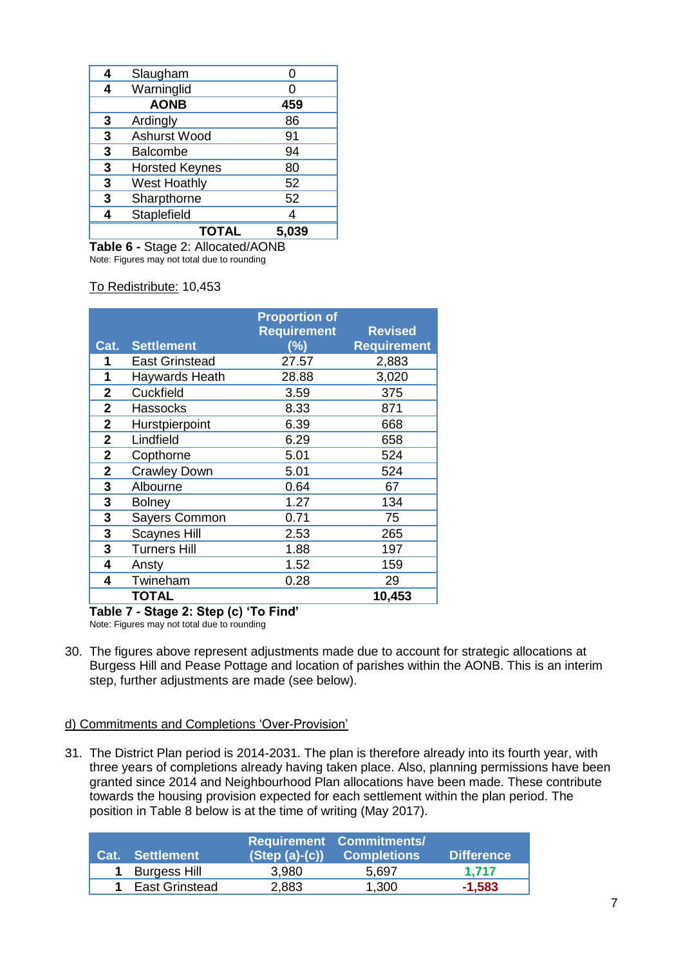| 4 | Slaugham              |       |
|---|-----------------------|-------|
| 4 | Warninglid            |       |
|   | <b>AONB</b>           | 459   |
| 3 | Ardingly              | 86    |
| 3 | Ashurst Wood          | 91    |
| 3 | <b>Balcombe</b>       | 94    |
| 3 | <b>Horsted Keynes</b> | 80    |
| 3 | <b>West Hoathly</b>   | 52    |
| 3 | Sharpthorne           | 52    |
| Δ | Staplefield           |       |
|   | <b>TOTAL</b>          | 5.039 |

**Table 6 -** Stage 2: Allocated/AONB Note: Figures may not total due to rounding

### To Redistribute: 10,453

| Cat.           | <b>Settlement</b>     | <b>Proportion of</b><br><b>Requirement</b><br>$(\%)$ | <b>Revised</b><br><b>Requirement</b> |
|----------------|-----------------------|------------------------------------------------------|--------------------------------------|
| 1              | <b>East Grinstead</b> | 27.57                                                | 2,883                                |
| 1              | Haywards Heath        | 28.88                                                | 3,020                                |
| $\overline{2}$ | Cuckfield             | 3.59                                                 | 375                                  |
| $\mathbf{2}$   | <b>Hassocks</b>       | 8.33                                                 | 871                                  |
| 2              | Hurstpierpoint        | 6.39                                                 | 668                                  |
| $\mathbf{2}$   | Lindfield             | 6.29                                                 | 658                                  |
| $\mathbf{2}$   | Copthorne             | 5.01                                                 | 524                                  |
| 2              | <b>Crawley Down</b>   | 5.01                                                 | 524                                  |
| 3              | Albourne              | 0.64                                                 | 67                                   |
| 3              | <b>Bolney</b>         | 1.27                                                 | 134                                  |
| 3              | Sayers Common         | 0.71                                                 | 75                                   |
| 3              | <b>Scaynes Hill</b>   | 2.53                                                 | 265                                  |
| 3              | <b>Turners Hill</b>   | 1.88                                                 | 197                                  |
| 4              | Ansty                 | 1.52                                                 | 159                                  |
| 4              | Twineham              | 0.28                                                 | 29                                   |
|                | TOTAL                 |                                                      | 10,453                               |

**Table 7 - Stage 2: Step (c) 'To Find'** Note: Figures may not total due to rounding

30. The figures above represent adjustments made due to account for strategic allocations at Burgess Hill and Pease Pottage and location of parishes within the AONB. This is an interim step, further adjustments are made (see below).

#### d) Commitments and Completions 'Over-Provision'

31. The District Plan period is 2014-2031. The plan is therefore already into its fourth year, with three years of completions already having taken place. Also, planning permissions have been granted since 2014 and Neighbourhood Plan allocations have been made. These contribute towards the housing provision expected for each settlement within the plan period. The position in Table 8 below is at the time of writing (May 2017).

| <b>Cat.</b> Settlement | $(Stop(a)-(c))$ | <b>Requirement Commitments/</b><br><b>Completions</b> | <b>Difference</b> |
|------------------------|-----------------|-------------------------------------------------------|-------------------|
| 1 Burgess Hill         | 3,980           | 5.697                                                 | 1.717             |
| East Grinstead         | 2,883           | 1,300                                                 | $-1,583$          |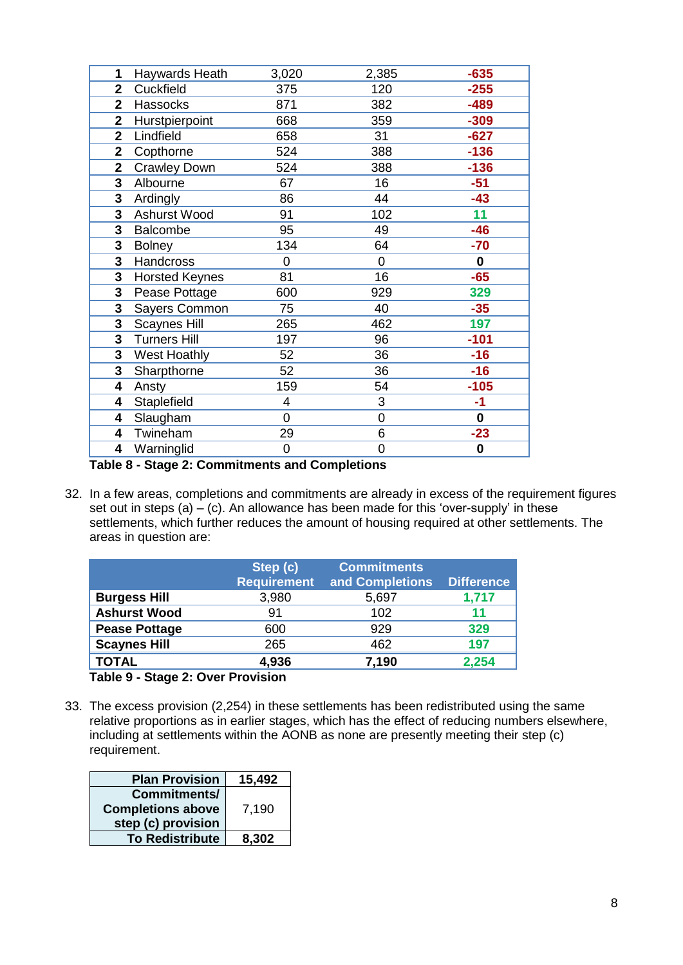| 1            | Haywards Heath        | 3,020 | 2,385 | $-635$      |
|--------------|-----------------------|-------|-------|-------------|
| $\mathbf{2}$ | Cuckfield             | 375   | 120   | $-255$      |
| $\mathbf{2}$ | Hassocks              | 871   | 382   | $-489$      |
| $\mathbf{2}$ | Hurstpierpoint        | 668   | 359   | $-309$      |
| $\mathbf{2}$ | Lindfield             | 658   | 31    | $-627$      |
| $\mathbf{2}$ | Copthorne             | 524   | 388   | $-136$      |
| $\mathbf{2}$ | <b>Crawley Down</b>   | 524   | 388   | $-136$      |
| 3            | Albourne              | 67    | 16    | $-51$       |
| 3            | Ardingly              | 86    | 44    | $-43$       |
| 3            | Ashurst Wood          | 91    | 102   | 11          |
| 3            | <b>Balcombe</b>       | 95    | 49    | $-46$       |
| 3            | <b>Bolney</b>         | 134   | 64    | $-70$       |
| 3            | Handcross             | 0     | 0     | $\mathbf 0$ |
| 3            | <b>Horsted Keynes</b> | 81    | 16    | $-65$       |
| 3            | Pease Pottage         | 600   | 929   | 329         |
| 3            | Sayers Common         | 75    | 40    | $-35$       |
| 3            | <b>Scaynes Hill</b>   | 265   | 462   | 197         |
| 3            | <b>Turners Hill</b>   | 197   | 96    | $-101$      |
| 3            | <b>West Hoathly</b>   | 52    | 36    | $-16$       |
| 3            | Sharpthorne           | 52    | 36    | $-16$       |
| 4            | Ansty                 | 159   | 54    | $-105$      |
| 4            | Staplefield           | 4     | 3     | $-1$        |
| 4            | Slaugham              | 0     | 0     | 0           |
| 4            | Twineham              | 29    | 6     | $-23$       |
| 4            | Warninglid            | 0     | 0     | 0           |
|              |                       |       |       |             |

**Table 8 - Stage 2: Commitments and Completions**

32. In a few areas, completions and commitments are already in excess of the requirement figures set out in steps (a) – (c). An allowance has been made for this 'over-supply' in these settlements, which further reduces the amount of housing required at other settlements. The areas in question are:

|                      | Step (c)<br><b>Requirement</b> | <b>Commitments</b><br>and Completions | <b>Difference</b> |
|----------------------|--------------------------------|---------------------------------------|-------------------|
| <b>Burgess Hill</b>  | 3,980                          | 5,697                                 | 1,717             |
| <b>Ashurst Wood</b>  | 91                             | 102                                   | 11                |
| <b>Pease Pottage</b> | 600                            | 929                                   | 329               |
| <b>Scaynes Hill</b>  | 265                            | 462                                   | 197               |
| <b>TOTAL</b><br>.    | 4,936                          | 7,190                                 | 2,254             |

**Table 9 - Stage 2: Over Provision**

33. The excess provision (2,254) in these settlements has been redistributed using the same relative proportions as in earlier stages, which has the effect of reducing numbers elsewhere, including at settlements within the AONB as none are presently meeting their step (c) requirement.

| <b>Plan Provision</b>    | 15,492 |
|--------------------------|--------|
| Commitments/             |        |
| <b>Completions above</b> | 7,190  |
| step (c) provision       |        |
| <b>To Redistribute</b>   | 8,302  |
|                          |        |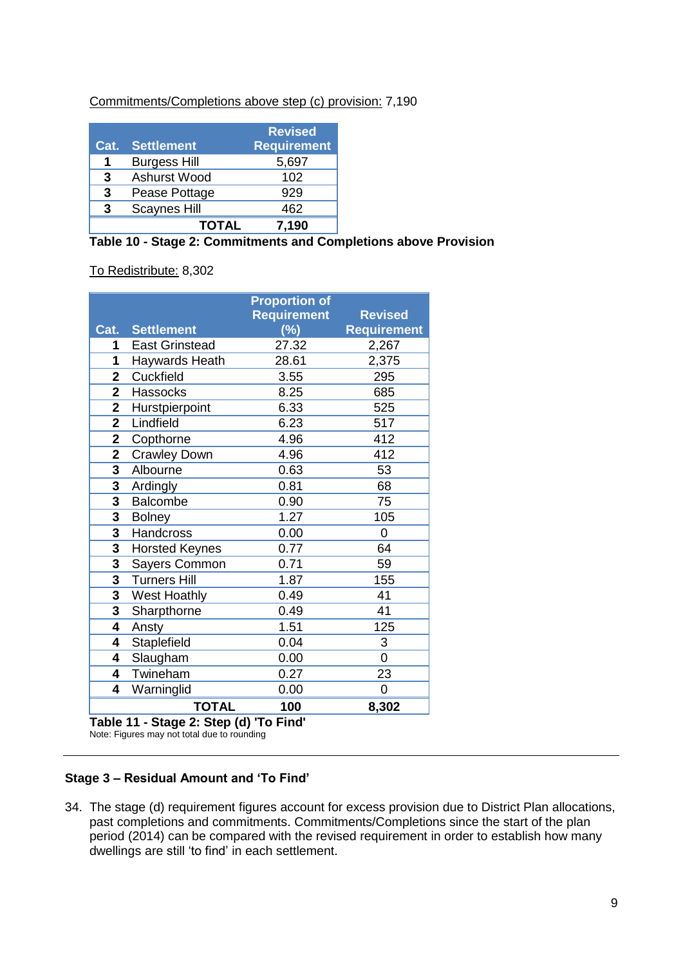Commitments/Completions above step (c) provision: 7,190

| Cat. | <b>Settlement</b>   | <b>Revised</b><br><b>Requirement</b> |
|------|---------------------|--------------------------------------|
| 1    | <b>Burgess Hill</b> | 5,697                                |
| 3    | Ashurst Wood        | 102                                  |
| 3    | Pease Pottage       | 929                                  |
| 3    | <b>Scaynes Hill</b> | 462                                  |
|      | <b>TOTAL</b>        | 7,190                                |

|  |  | Table 10 - Stage 2: Commitments and Completions above Provision |  |  |  |
|--|--|-----------------------------------------------------------------|--|--|--|

To Redistribute: 8,302

|                         |                       | <b>Proportion of</b><br><b>Requirement</b> | <b>Revised</b>     |
|-------------------------|-----------------------|--------------------------------------------|--------------------|
| Cat.                    | <b>Settlement</b>     | $(\%)$                                     | <b>Requirement</b> |
| 1                       | <b>East Grinstead</b> | 27.32                                      | 2,267              |
| 1                       | Haywards Heath        | 28.61                                      | 2,375              |
| $\overline{2}$          | Cuckfield             | 3.55                                       | 295                |
| $\overline{\mathbf{2}}$ | Hassocks              | 8.25                                       | 685                |
| $\overline{\mathbf{2}}$ | Hurstpierpoint        | 6.33                                       | 525                |
| $\overline{2}$          | Lindfield             | 6.23                                       | 517                |
| $\overline{\mathbf{2}}$ | Copthorne             | 4.96                                       | 412                |
| $\overline{\mathbf{2}}$ | <b>Crawley Down</b>   | 4.96                                       | 412                |
| 3                       | Albourne              | 0.63                                       | 53                 |
| 3                       | Ardingly              | 0.81                                       | 68                 |
| 3                       | <b>Balcombe</b>       | 0.90                                       | 75                 |
| 3                       | <b>Bolney</b>         | 1.27                                       | 105                |
| 3                       | Handcross             | 0.00                                       | 0                  |
| 3                       | <b>Horsted Keynes</b> | 0.77                                       | 64                 |
| 3                       | <b>Sayers Common</b>  | 0.71                                       | 59                 |
| $\overline{\mathbf{3}}$ | <b>Turners Hill</b>   | 1.87                                       | 155                |
| 3                       | West Hoathly          | 0.49                                       | 41                 |
| 3                       | Sharpthorne           | 0.49                                       | 41                 |
| 4                       | Ansty                 | 1.51                                       | 125                |
| 4                       | Staplefield           | 0.04                                       | 3                  |
| 4                       | Slaugham              | 0.00                                       | 0                  |
| 4                       | Twineham              | 0.27                                       | 23                 |
| 4                       | Warninglid            | 0.00                                       | 0                  |
|                         | <b>TOTAL</b>          | 100                                        | 8,302              |

**Table 11 - Stage 2: Step (d) 'To Find'**

Note: Figures may not total due to rounding

# **Stage 3 – Residual Amount and 'To Find'**

34. The stage (d) requirement figures account for excess provision due to District Plan allocations, past completions and commitments. Commitments/Completions since the start of the plan period (2014) can be compared with the revised requirement in order to establish how many dwellings are still 'to find' in each settlement.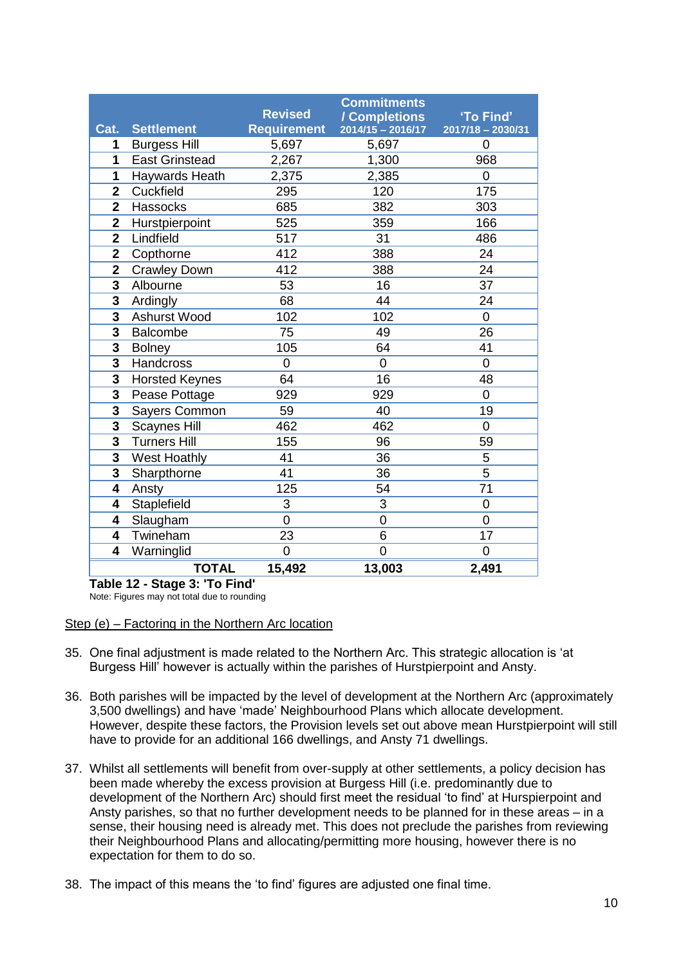| Cat.           | <b>Settlement</b>     | <b>Revised</b><br><b>Requirement</b> | <b>Commitments</b><br><b>/ Completions<br/>2014/15 - 2016/17</b> | 'To Find'<br>2017/18 - 2030/31 |
|----------------|-----------------------|--------------------------------------|------------------------------------------------------------------|--------------------------------|
| 1              | <b>Burgess Hill</b>   | 5,697                                | 5,697                                                            | 0                              |
| 1              | <b>East Grinstead</b> | 2,267                                | 1,300                                                            | 968                            |
| 1              | Haywards Heath        | 2,375                                | 2,385                                                            | $\overline{0}$                 |
| $\overline{2}$ | Cuckfield             | 295                                  | 120                                                              | 175                            |
| $\overline{2}$ | Hassocks              | 685                                  | 382                                                              | 303                            |
| $\overline{2}$ | Hurstpierpoint        | 525                                  | 359                                                              | 166                            |
| $\overline{2}$ | Lindfield             | 517                                  | 31                                                               | 486                            |
| $\overline{2}$ | Copthorne             | 412                                  | 388                                                              | 24                             |
| $\overline{2}$ | <b>Crawley Down</b>   | 412                                  | 388                                                              | 24                             |
| 3              | Albourne              | 53                                   | 16                                                               | 37                             |
| 3              | Ardingly              | 68                                   | 44                                                               | 24                             |
| 3              | Ashurst Wood          | 102                                  | 102                                                              | $\overline{0}$                 |
| 3              | <b>Balcombe</b>       | 75                                   | 49                                                               | 26                             |
| 3              | <b>Bolney</b>         | 105                                  | 64                                                               | 41                             |
| 3              | Handcross             | $\overline{0}$                       | $\overline{0}$                                                   | $\overline{0}$                 |
| 3              | <b>Horsted Keynes</b> | 64                                   | 16                                                               | 48                             |
| 3              | Pease Pottage         | 929                                  | 929                                                              | $\overline{0}$                 |
| 3              | <b>Sayers Common</b>  | 59                                   | 40                                                               | 19                             |
| 3              | <b>Scaynes Hill</b>   | 462                                  | 462                                                              | $\overline{0}$                 |
| 3              | <b>Turners Hill</b>   | 155                                  | 96                                                               | 59                             |
| 3              | <b>West Hoathly</b>   | 41                                   | 36                                                               | 5                              |
| 3              | Sharpthorne           | 41                                   | 36                                                               | 5                              |
| 4              | Ansty                 | 125                                  | 54                                                               | 71                             |
| 4              | Staplefield           | 3                                    | 3                                                                | 0                              |
| 4              | Slaugham              | $\overline{0}$                       | $\overline{0}$                                                   | $\overline{0}$                 |
| 4              | Twineham              | 23                                   | 6                                                                | 17                             |
| 4              | Warninglid            | $\overline{0}$                       | $\overline{0}$                                                   | $\overline{0}$                 |
|                | <b>TOTAL</b>          | 15,492                               | 13,003                                                           | 2,491                          |

**Table 12 - Stage 3: 'To Find'**

Note: Figures may not total due to rounding

#### Step (e) – Factoring in the Northern Arc location

- 35. One final adjustment is made related to the Northern Arc. This strategic allocation is 'at Burgess Hill' however is actually within the parishes of Hurstpierpoint and Ansty.
- 36. Both parishes will be impacted by the level of development at the Northern Arc (approximately 3,500 dwellings) and have 'made' Neighbourhood Plans which allocate development. However, despite these factors, the Provision levels set out above mean Hurstpierpoint will still have to provide for an additional 166 dwellings, and Ansty 71 dwellings.
- 37. Whilst all settlements will benefit from over-supply at other settlements, a policy decision has been made whereby the excess provision at Burgess Hill (i.e. predominantly due to development of the Northern Arc) should first meet the residual 'to find' at Hurspierpoint and Ansty parishes, so that no further development needs to be planned for in these areas – in a sense, their housing need is already met. This does not preclude the parishes from reviewing their Neighbourhood Plans and allocating/permitting more housing, however there is no expectation for them to do so.
- 38. The impact of this means the 'to find' figures are adjusted one final time.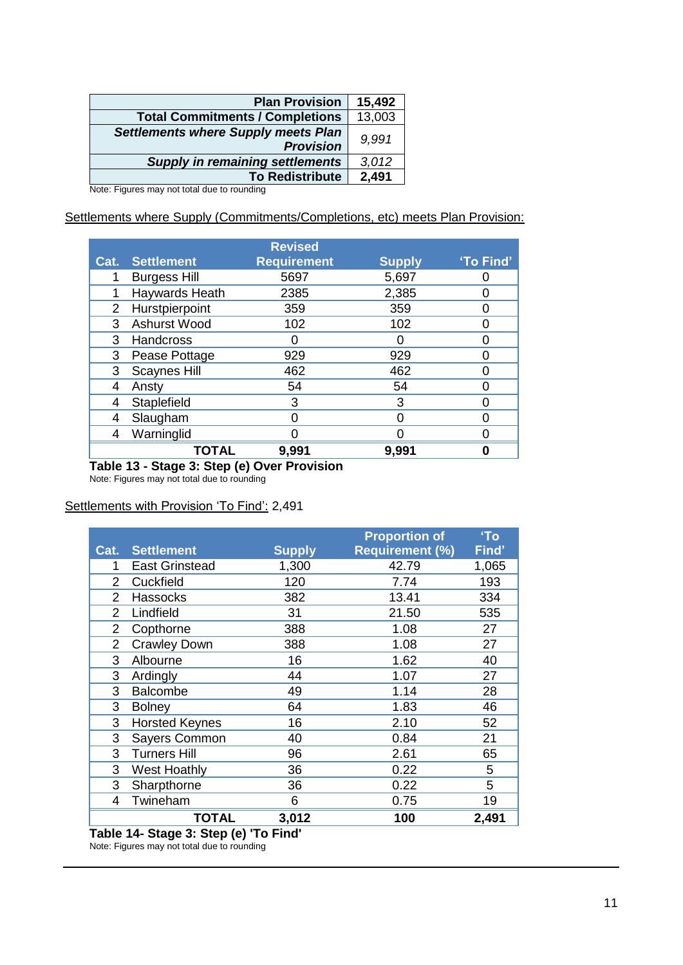| <b>Plan Provision</b>                                          | 15,492 |
|----------------------------------------------------------------|--------|
| <b>Total Commitments / Completions</b>                         | 13,003 |
| <b>Settlements where Supply meets Plan</b><br><b>Provision</b> | 9.991  |
| <b>Supply in remaining settlements</b>                         | 3,012  |
| <b>To Redistribute</b>                                         | 2,491  |

Note: Figures may not total due to rounding

#### Settlements where Supply (Commitments/Completions, etc) meets Plan Provision:

|      |                     | <b>Revised</b>     |               |           |
|------|---------------------|--------------------|---------------|-----------|
| Cat. | <b>Settlement</b>   | <b>Requirement</b> | <b>Supply</b> | 'To Find' |
|      | <b>Burgess Hill</b> | 5697               | 5,697         |           |
|      | Haywards Heath      | 2385               | 2,385         |           |
| 2    | Hurstpierpoint      | 359                | 359           |           |
| 3    | Ashurst Wood        | 102                | 102           |           |
| 3    | Handcross           |                    |               |           |
| 3    | Pease Pottage       | 929                | 929           |           |
| 3    | <b>Scaynes Hill</b> | 462                | 462           |           |
| 4    | Ansty               | 54                 | 54            |           |
| 4    | Staplefield         | 3                  | 3             |           |
| 4    | Slaugham            |                    | በ             |           |
| 4    | Warninglid          |                    |               |           |
|      | <b>TOTAL</b>        | 9,991              | 9,991         |           |

**Table 13 - Stage 3: Step (e) Over Provision**

Note: Figures may not total due to rounding

#### Settlements with Provision 'To Find': 2,491

|                |                             |               | <b>Proportion of</b>   | 'To   |
|----------------|-----------------------------|---------------|------------------------|-------|
| Cat.           | <b>Settlement</b>           | <b>Supply</b> | <b>Requirement (%)</b> | Find' |
| 1              | <b>East Grinstead</b>       | 1,300         | 42.79                  | 1,065 |
| 2              | Cuckfield                   | 120           | 7.74                   | 193   |
| $\overline{2}$ | <b>Hassocks</b>             | 382           | 13.41                  | 334   |
| 2              | Lindfield                   | 31            | 21.50                  | 535   |
| 2              | Copthorne                   | 388           | 1.08                   | 27    |
| $\overline{2}$ | <b>Crawley Down</b>         | 388           | 1.08                   | 27    |
| 3              | Albourne                    | 16            | 1.62                   | 40    |
| 3              | Ardingly                    | 44            | 1.07                   | 27    |
| 3              | <b>Balcombe</b>             | 49            | 1.14                   | 28    |
| 3              | <b>Bolney</b>               | 64            | 1.83                   | 46    |
| 3              | <b>Horsted Keynes</b>       | 16            | 2.10                   | 52    |
| 3              | Sayers Common               | 40            | 0.84                   | 21    |
| 3              | <b>Turners Hill</b>         | 96            | 2.61                   | 65    |
| 3              | West Hoathly                | 36            | 0.22                   | 5     |
| 3              | Sharpthorne                 | 36            | 0.22                   | 5     |
| 4              | Twineham                    | 6             | 0.75                   | 19    |
|                | <b>TOTAL</b>                | 3,012         | 100                    | 2,491 |
|                | $\sim$ $\sim$ $\sim$ $\sim$ | --            |                        |       |

**Table 14- Stage 3: Step (e) 'To Find'** Note: Figures may not total due to rounding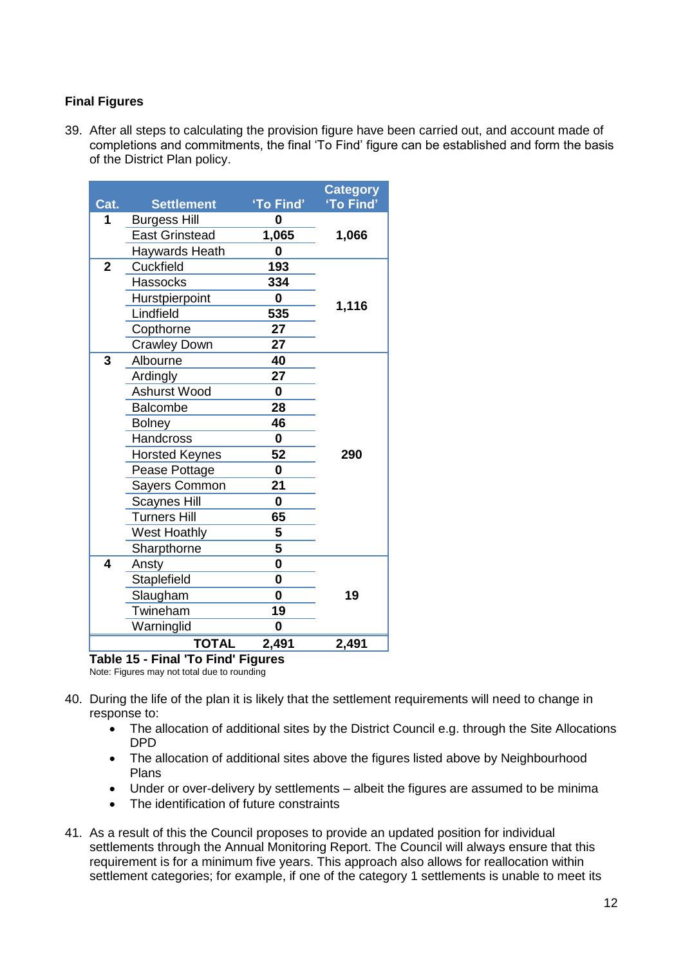# **Final Figures**

39. After all steps to calculating the provision figure have been carried out, and account made of completions and commitments, the final 'To Find' figure can be established and form the basis of the District Plan policy.

|                                    |                       |             | <b>Category</b> |  |  |  |  |  |
|------------------------------------|-----------------------|-------------|-----------------|--|--|--|--|--|
| Cat.                               | <b>Settlement</b>     | 'To Find'   | 'To Find'       |  |  |  |  |  |
| 1                                  | <b>Burgess Hill</b>   | 0           |                 |  |  |  |  |  |
|                                    | <b>East Grinstead</b> | 1,065       | 1,066           |  |  |  |  |  |
|                                    | <b>Haywards Heath</b> | 0           |                 |  |  |  |  |  |
| $\overline{2}$                     | Cuckfield             | 193         |                 |  |  |  |  |  |
|                                    | <b>Hassocks</b>       | 334         |                 |  |  |  |  |  |
|                                    | Hurstpierpoint        | $\bf{0}$    | 1,116           |  |  |  |  |  |
|                                    | Lindfield             | 535         |                 |  |  |  |  |  |
|                                    | Copthorne             | 27          |                 |  |  |  |  |  |
|                                    | <b>Crawley Down</b>   | 27          |                 |  |  |  |  |  |
| 3                                  | Albourne              | 40          |                 |  |  |  |  |  |
|                                    | Ardingly              | 27          |                 |  |  |  |  |  |
|                                    | Ashurst Wood          | 0           |                 |  |  |  |  |  |
|                                    | <b>Balcombe</b>       | 28          |                 |  |  |  |  |  |
|                                    | <b>Bolney</b>         | 46          |                 |  |  |  |  |  |
|                                    | <b>Handcross</b>      | 0           |                 |  |  |  |  |  |
|                                    | <b>Horsted Keynes</b> | 52          | 290             |  |  |  |  |  |
|                                    | Pease Pottage         | $\mathbf 0$ |                 |  |  |  |  |  |
|                                    | Sayers Common         | 21          |                 |  |  |  |  |  |
|                                    | <b>Scaynes Hill</b>   | 0           |                 |  |  |  |  |  |
|                                    | <b>Turners Hill</b>   | 65          |                 |  |  |  |  |  |
|                                    | West Hoathly          | 5           |                 |  |  |  |  |  |
|                                    | Sharpthorne           | 5           |                 |  |  |  |  |  |
| 4                                  | Ansty                 | $\bf{0}$    |                 |  |  |  |  |  |
|                                    | Staplefield           | $\mathbf 0$ |                 |  |  |  |  |  |
|                                    | Slaugham              | $\mathbf 0$ | 19              |  |  |  |  |  |
|                                    | Twineham              | 19          |                 |  |  |  |  |  |
|                                    | Warninglid            | 0           |                 |  |  |  |  |  |
|                                    | <b>TOTAL</b>          | 2,491       | 2,491           |  |  |  |  |  |
| Table 15 - Final 'To Find' Figures |                       |             |                 |  |  |  |  |  |

Note: Figures may not total due to rounding

- 40. During the life of the plan it is likely that the settlement requirements will need to change in response to:
	- The allocation of additional sites by the District Council e.g. through the Site Allocations DPD
	- The allocation of additional sites above the figures listed above by Neighbourhood Plans
	- Under or over-delivery by settlements albeit the figures are assumed to be minima
	- The identification of future constraints
- 41. As a result of this the Council proposes to provide an updated position for individual settlements through the Annual Monitoring Report. The Council will always ensure that this requirement is for a minimum five years. This approach also allows for reallocation within settlement categories; for example, if one of the category 1 settlements is unable to meet its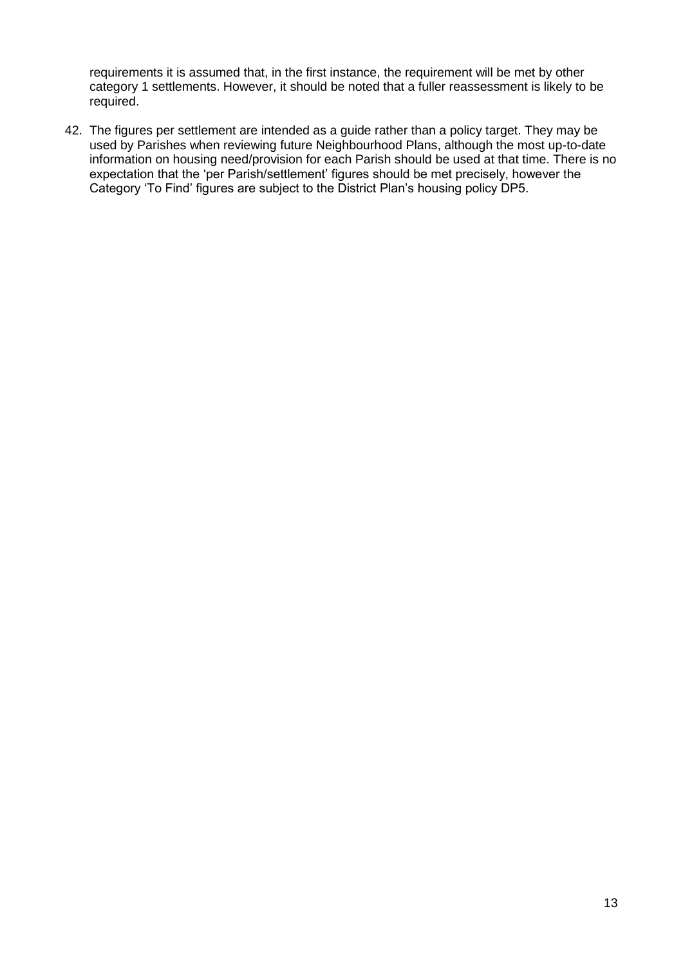requirements it is assumed that, in the first instance, the requirement will be met by other category 1 settlements. However, it should be noted that a fuller reassessment is likely to be required.

42. The figures per settlement are intended as a guide rather than a policy target. They may be used by Parishes when reviewing future Neighbourhood Plans, although the most up-to-date information on housing need/provision for each Parish should be used at that time. There is no expectation that the 'per Parish/settlement' figures should be met precisely, however the Category 'To Find' figures are subject to the District Plan's housing policy DP5.